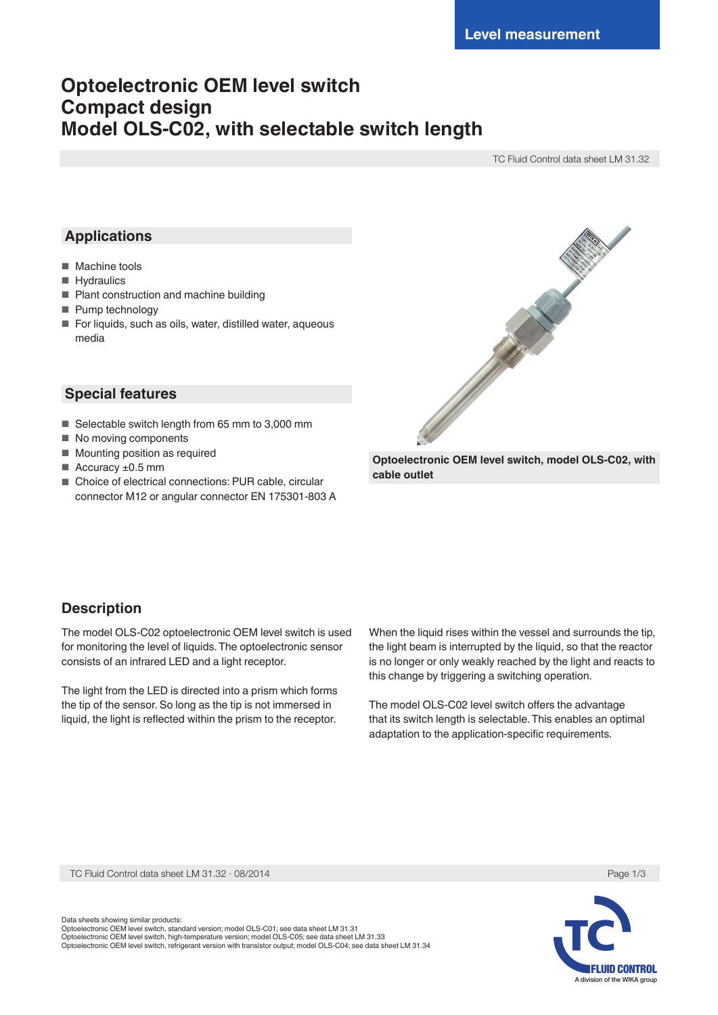# **Optoelectronic OEM level switch Compact design Model OLS-C02, with selectable switch length**

TC Fluid Control data sheet LM 31.32

# **Applications**

- Machine tools
- Hydraulics
- Plant construction and machine building
- Pump technology
- For liquids, such as oils, water, distilled water, aqueous media

## **Special features**

- Selectable switch length from 65 mm to 3,000 mm
- No moving components
- Mounting position as required
- $\blacksquare$  Accuracy  $\pm 0.5$  mm
- Choice of electrical connections: PUR cable, circular connector M12 or angular connector EN 175301-803 A



**Optoelectronic OEM level switch, model OLS-C02, with cable outlet**

## **Description**

The model OLS-C02 optoelectronic OEM level switch is used for monitoring the level of liquids. The optoelectronic sensor consists of an infrared LED and a light receptor.

The light from the LED is directed into a prism which forms the tip of the sensor. So long as the tip is not immersed in liquid, the light is reflected within the prism to the receptor.

When the liquid rises within the vessel and surrounds the tip, the light beam is interrupted by the liquid, so that the reactor is no longer or only weakly reached by the light and reacts to this change by triggering a switching operation.

The model OLS-C02 level switch offers the advantage that its switch length is selectable. This enables an optimal adaptation to the application-specific requirements.

TC Fluid Control data sheet LM 31.32 ⋅ 08/2014 Page 1/3



Data sheets showing similar products: Optoelectronic OEM level switch, standard version; model OLS-C01; see data sheet LM 31.31 Optoelectronic OEM level switch, high-temperature version; model OLS-C05; see data sheet LM 31.33 Optoelectronic OEM level switch, refrigerant version with transistor output; model OLS-C04; see data sheet LM 31.34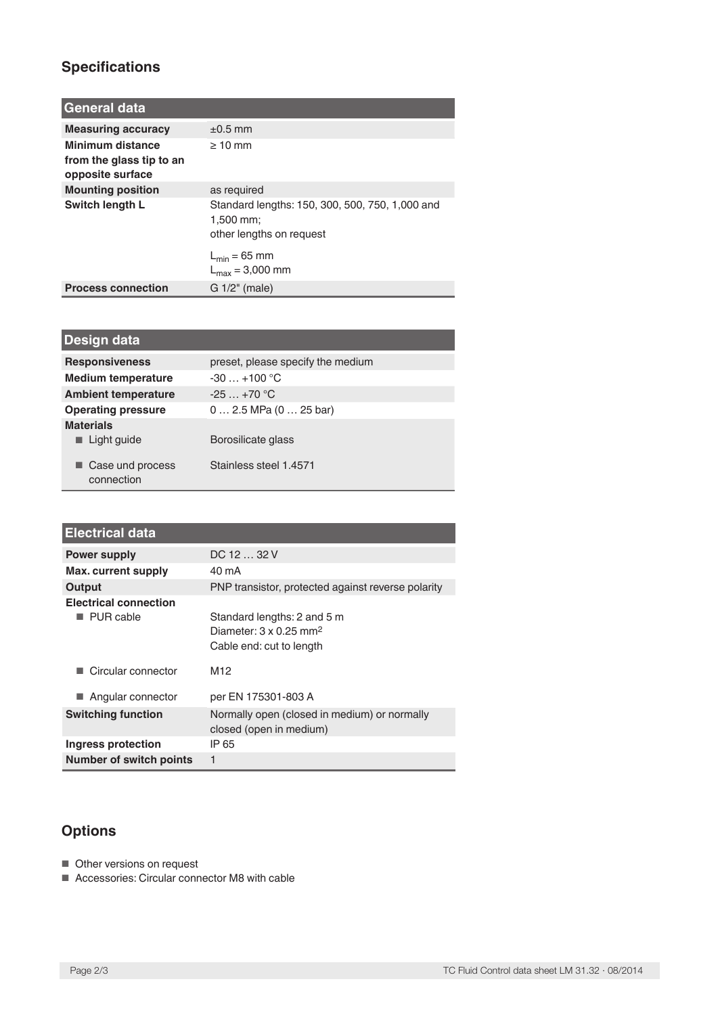# **Specifications**

| <b>General data</b>                                              |                                                                                            |
|------------------------------------------------------------------|--------------------------------------------------------------------------------------------|
| <b>Measuring accuracy</b>                                        | $+0.5$ mm                                                                                  |
| Minimum distance<br>from the glass tip to an<br>opposite surface | $>10$ mm                                                                                   |
| <b>Mounting position</b>                                         | as required                                                                                |
| Switch length L                                                  | Standard lengths: 150, 300, 500, 750, 1,000 and<br>$1,500$ mm;<br>other lengths on request |
|                                                                  | $L_{\text{min}} = 65$ mm<br>$L_{\text{max}} = 3,000 \text{ mm}$                            |
| <b>Process connection</b>                                        | $G1/2$ " (male)                                                                            |

| Design data                                    |                                   |
|------------------------------------------------|-----------------------------------|
| <b>Responsiveness</b>                          | preset, please specify the medium |
| <b>Medium temperature</b>                      | $-30+100$ °C                      |
| <b>Ambient temperature</b>                     | $-25+70$ °C                       |
| <b>Operating pressure</b>                      | $0 2.5$ MPa $(0 25$ bar)          |
| <b>Materials</b><br>$\blacksquare$ Light guide | Borosilicate glass                |
| Case und process<br>connection                 | Stainless steel 1.4571            |

| <b>Electrical data</b>         |                                                                                                      |
|--------------------------------|------------------------------------------------------------------------------------------------------|
| <b>Power supply</b>            | DC 12  32 V                                                                                          |
| Max. current supply            | 40 mA                                                                                                |
| Output                         | PNP transistor, protected against reverse polarity                                                   |
| <b>Electrical connection</b>   |                                                                                                      |
| PUR cable                      | Standard lengths: 2 and 5 m<br>Diameter: $3 \times 0.25$ mm <sup>2</sup><br>Cable end: cut to length |
| Circular connector             | M <sub>12</sub>                                                                                      |
| Angular connector              | per EN 175301-803 A                                                                                  |
| <b>Switching function</b>      | Normally open (closed in medium) or normally<br>closed (open in medium)                              |
| Ingress protection             | IP 65                                                                                                |
| <b>Number of switch points</b> | 1                                                                                                    |

# **Options**

- Other versions on request
- Accessories: Circular connector M8 with cable